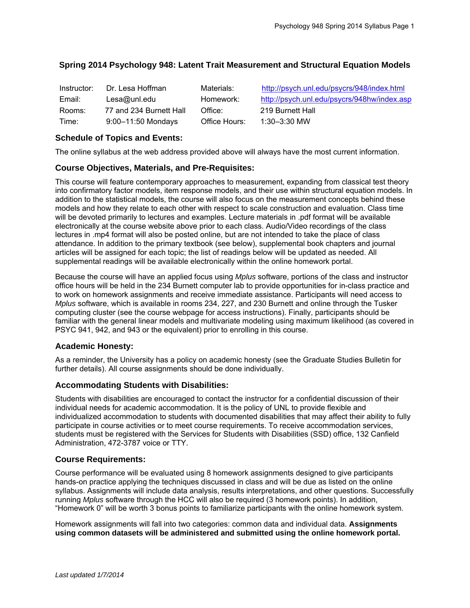# **Spring 2014 Psychology 948: Latent Trait Measurement and Structural Equation Models**

| Instructor: | Dr. Lesa Hoffman        | Materials:    | http://psych.unl.edu/psycrs/948/index.html  |
|-------------|-------------------------|---------------|---------------------------------------------|
| Email:      | Lesa@unl.edu            | Homework:     | http://psych.unl.edu/psycrs/948hw/index.asp |
| Rooms:      | 77 and 234 Burnett Hall | Office:       | 219 Burnett Hall                            |
| Time:       | $9:00 - 11:50$ Mondays  | Office Hours: | $1:30 - 3:30$ MW                            |

## **Schedule of Topics and Events:**

The online syllabus at the web address provided above will always have the most current information.

### **Course Objectives, Materials, and Pre-Requisites:**

This course will feature contemporary approaches to measurement, expanding from classical test theory into confirmatory factor models, item response models, and their use within structural equation models. In addition to the statistical models, the course will also focus on the measurement concepts behind these models and how they relate to each other with respect to scale construction and evaluation. Class time will be devoted primarily to lectures and examples. Lecture materials in .pdf format will be available electronically at the course website above prior to each class. Audio/Video recordings of the class lectures in .mp4 format will also be posted online, but are not intended to take the place of class attendance. In addition to the primary textbook (see below), supplemental book chapters and journal articles will be assigned for each topic; the list of readings below will be updated as needed. All supplemental readings will be available electronically within the online homework portal.

Because the course will have an applied focus using *Mplus* software, portions of the class and instructor office hours will be held in the 234 Burnett computer lab to provide opportunities for in-class practice and to work on homework assignments and receive immediate assistance. Participants will need access to *Mplus* software, which is available in rooms 234, 227, and 230 Burnett and online through the Tusker computing cluster (see the course webpage for access instructions). Finally, participants should be familiar with the general linear models and multivariate modeling using maximum likelihood (as covered in PSYC 941, 942, and 943 or the equivalent) prior to enrolling in this course.

### **Academic Honesty:**

As a reminder, the University has a policy on academic honesty (see the Graduate Studies Bulletin for further details). All course assignments should be done individually.

### **Accommodating Students with Disabilities:**

Students with disabilities are encouraged to contact the instructor for a confidential discussion of their individual needs for academic accommodation. It is the policy of UNL to provide flexible and individualized accommodation to students with documented disabilities that may affect their ability to fully participate in course activities or to meet course requirements. To receive accommodation services, students must be registered with the Services for Students with Disabilities (SSD) office, 132 Canfield Administration, 472-3787 voice or TTY.

### **Course Requirements:**

Course performance will be evaluated using 8 homework assignments designed to give participants hands-on practice applying the techniques discussed in class and will be due as listed on the online syllabus. Assignments will include data analysis, results interpretations, and other questions. Successfully running *Mplus* software through the HCC will also be required (3 homework points). In addition, "Homework 0" will be worth 3 bonus points to familiarize participants with the online homework system.

Homework assignments will fall into two categories: common data and individual data. **Assignments using common datasets will be administered and submitted using the online homework portal.**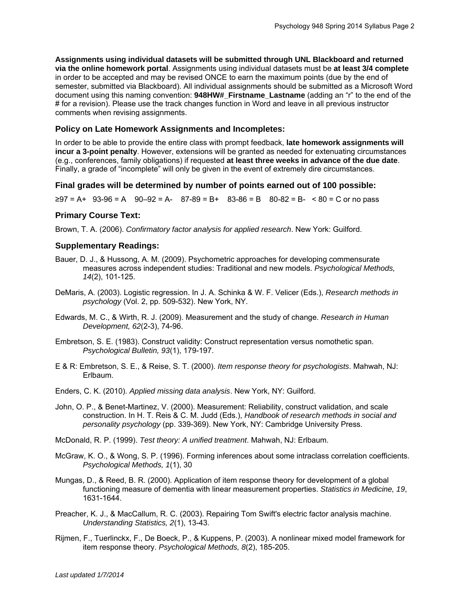**Assignments using individual datasets will be submitted through UNL Blackboard and returned via the online homework portal**. Assignments using individual datasets must be **at least 3/4 complete** in order to be accepted and may be revised ONCE to earn the maximum points (due by the end of semester, submitted via Blackboard). All individual assignments should be submitted as a Microsoft Word document using this naming convention: **948HW#\_Firstname\_Lastname** (adding an "r" to the end of the # for a revision). Please use the track changes function in Word and leave in all previous instructor comments when revising assignments.

## **Policy on Late Homework Assignments and Incompletes:**

In order to be able to provide the entire class with prompt feedback, **late homework assignments will incur a 3-point penalty**. However, extensions will be granted as needed for extenuating circumstances (e.g., conferences, family obligations) if requested **at least three weeks in advance of the due date**. Finally, a grade of "incomplete" will only be given in the event of extremely dire circumstances.

# **Final grades will be determined by number of points earned out of 100 possible:**

 $≥97 = A+ 93-96 = A - 90-92 = A - 87-89 = B+ 83-86 = B - 80-82 = B - 80 = C$  or no pass

# **Primary Course Text:**

Brown, T. A. (2006). *Confirmatory factor analysis for applied research*. New York: Guilford.

# **Supplementary Readings:**

- Bauer, D. J., & Hussong, A. M. (2009). Psychometric approaches for developing commensurate measures across independent studies: Traditional and new models. *Psychological Methods, 14*(2), 101-125.
- DeMaris, A. (2003). Logistic regression. In J. A. Schinka & W. F. Velicer (Eds.), *Research methods in psychology* (Vol. 2, pp. 509-532). New York, NY.
- Edwards, M. C., & Wirth, R. J. (2009). Measurement and the study of change. *Research in Human Development, 62*(2-3), 74-96.
- Embretson, S. E. (1983). Construct validity: Construct representation versus nomothetic span. *Psychological Bulletin, 93*(1), 179-197.
- E & R: Embretson, S. E., & Reise, S. T. (2000). *Item response theory for psychologists*. Mahwah, NJ: Erlbaum.
- Enders, C. K. (2010). *Applied missing data analysis*. New York, NY: Guilford.
- John, O. P., & Benet-Martinez, V. (2000). Measurement: Reliability, construct validation, and scale construction. In H. T. Reis & C. M. Judd (Eds.), *Handbook of research methods in social and personality psychology* (pp. 339-369). New York, NY: Cambridge University Press.
- McDonald, R. P. (1999). *Test theory: A unified treatment*. Mahwah, NJ: Erlbaum.
- McGraw, K. O., & Wong, S. P. (1996). Forming inferences about some intraclass correlation coefficients. *Psychological Methods, 1*(1), 30
- Mungas, D., & Reed, B. R. (2000). Application of item response theory for development of a global functioning measure of dementia with linear measurement properties. *Statistics in Medicine, 19*, 1631-1644.
- Preacher, K. J., & MacCallum, R. C. (2003). Repairing Tom Swift's electric factor analysis machine. *Understanding Statistics, 2*(1), 13-43.
- Rijmen, F., Tuerlinckx, F., De Boeck, P., & Kuppens, P. (2003). A nonlinear mixed model framework for item response theory. *Psychological Methods, 8*(2), 185-205.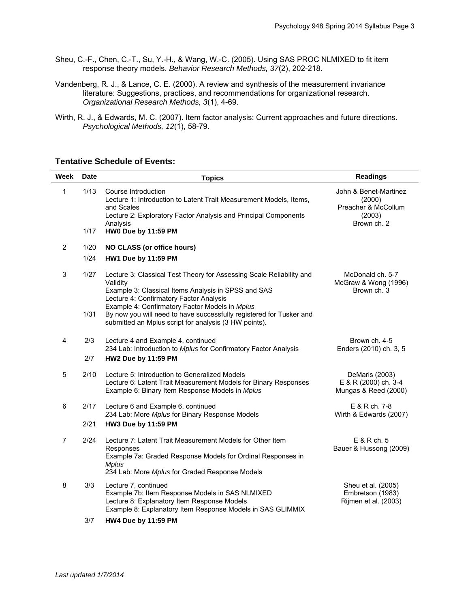- Sheu, C.-F., Chen, C.-T., Su, Y.-H., & Wang, W.-C. (2005). Using SAS PROC NLMIXED to fit item response theory models. *Behavior Research Methods, 37*(2), 202-218.
- Vandenberg, R. J., & Lance, C. E. (2000). A review and synthesis of the measurement invariance literature: Suggestions, practices, and recommendations for organizational research. *Organizational Research Methods, 3*(1), 4-69.
- Wirth, R. J., & Edwards, M. C. (2007). Item factor analysis: Current approaches and future directions. *Psychological Methods, 12*(1), 58-79.

#### **Tentative Schedule of Events:**

| <b>Week</b>    | <b>Date</b>  | <b>Topics</b>                                                                                                                                                                                                                                                                                               | <b>Readings</b>                                                                 |
|----------------|--------------|-------------------------------------------------------------------------------------------------------------------------------------------------------------------------------------------------------------------------------------------------------------------------------------------------------------|---------------------------------------------------------------------------------|
| 1              | 1/13         | Course Introduction<br>Lecture 1: Introduction to Latent Trait Measurement Models, Items,<br>and Scales<br>Lecture 2: Exploratory Factor Analysis and Principal Components<br>Analysis                                                                                                                      | John & Benet-Martinez<br>(2000)<br>Preacher & McCollum<br>(2003)<br>Brown ch. 2 |
|                | 1/17         | HW0 Due by 11:59 PM                                                                                                                                                                                                                                                                                         |                                                                                 |
| $\overline{2}$ | 1/20         | <b>NO CLASS (or office hours)</b>                                                                                                                                                                                                                                                                           |                                                                                 |
|                | 1/24         | <b>HW1 Due by 11:59 PM</b>                                                                                                                                                                                                                                                                                  |                                                                                 |
| 3              | 1/27<br>1/31 | Lecture 3: Classical Test Theory for Assessing Scale Reliability and<br>Validity<br>Example 3: Classical Items Analysis in SPSS and SAS<br>Lecture 4: Confirmatory Factor Analysis<br>Example 4: Confirmatory Factor Models in Mplus<br>By now you will need to have successfully registered for Tusker and | McDonald ch. 5-7<br>McGraw & Wong (1996)<br>Brown ch. 3                         |
|                |              | submitted an Mplus script for analysis (3 HW points).                                                                                                                                                                                                                                                       |                                                                                 |
| 4              | 2/3          | Lecture 4 and Example 4, continued<br>234 Lab: Introduction to Mplus for Confirmatory Factor Analysis                                                                                                                                                                                                       | Brown ch. 4-5<br>Enders (2010) ch. 3, 5                                         |
|                | 2/7          | <b>HW2 Due by 11:59 PM</b>                                                                                                                                                                                                                                                                                  |                                                                                 |
| 5              | 2/10         | Lecture 5: Introduction to Generalized Models<br>Lecture 6: Latent Trait Measurement Models for Binary Responses<br>Example 6: Binary Item Response Models in Mplus                                                                                                                                         | DeMaris (2003)<br>E & R (2000) ch. 3-4<br>Mungas & Reed (2000)                  |
| 6              | 2/17         | Lecture 6 and Example 6, continued<br>234 Lab: More Mplus for Binary Response Models                                                                                                                                                                                                                        | E & R ch. 7-8<br>Wirth & Edwards (2007)                                         |
|                | 2/21         | <b>HW3 Due by 11:59 PM</b>                                                                                                                                                                                                                                                                                  |                                                                                 |
| $\overline{7}$ | 2/24         | Lecture 7: Latent Trait Measurement Models for Other Item<br>Responses<br>Example 7a: Graded Response Models for Ordinal Responses in<br><b>Mplus</b><br>234 Lab: More Mplus for Graded Response Models                                                                                                     | E & Rch. 5<br>Bauer & Hussong (2009)                                            |
| 8              | 3/3          | Lecture 7, continued<br>Example 7b: Item Response Models in SAS NLMIXED<br>Lecture 8: Explanatory Item Response Models<br>Example 8: Explanatory Item Response Models in SAS GLIMMIX                                                                                                                        | Sheu et al. (2005)<br>Embretson (1983)<br>Rijmen et al. (2003)                  |
|                | 3/7          | <b>HW4 Due by 11:59 PM</b>                                                                                                                                                                                                                                                                                  |                                                                                 |